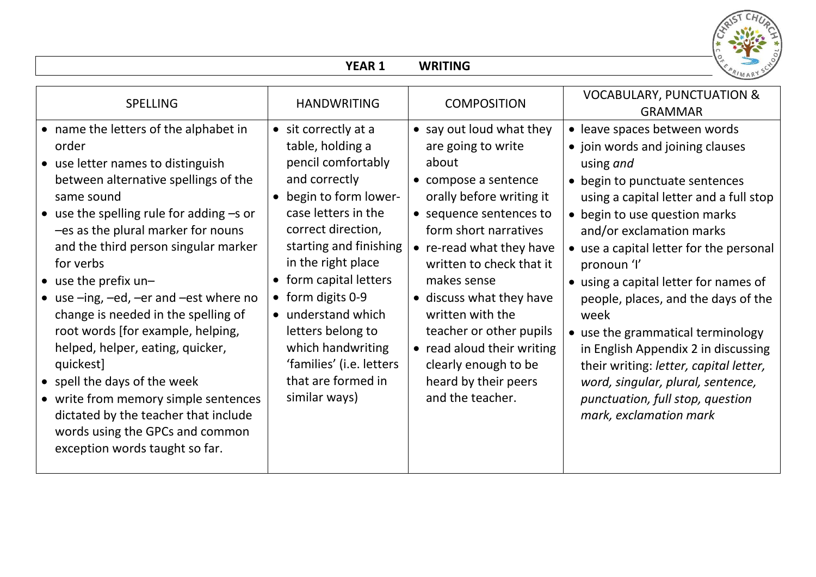

|                                                                                                                                                                                                                                                                                                                                                                                                                                                                                                                                                                                                                                                                                        | <b>YEAR 1</b>                                                                                                                                                                                                                                                                                                                                                                            | <b>WRITING</b>                                                                                                                                                                                                                                                                                                                                                                                                      |                                                                                                                                                                                                                                                                                                                                                                                                                                                                                                                                                                                                   |
|----------------------------------------------------------------------------------------------------------------------------------------------------------------------------------------------------------------------------------------------------------------------------------------------------------------------------------------------------------------------------------------------------------------------------------------------------------------------------------------------------------------------------------------------------------------------------------------------------------------------------------------------------------------------------------------|------------------------------------------------------------------------------------------------------------------------------------------------------------------------------------------------------------------------------------------------------------------------------------------------------------------------------------------------------------------------------------------|---------------------------------------------------------------------------------------------------------------------------------------------------------------------------------------------------------------------------------------------------------------------------------------------------------------------------------------------------------------------------------------------------------------------|---------------------------------------------------------------------------------------------------------------------------------------------------------------------------------------------------------------------------------------------------------------------------------------------------------------------------------------------------------------------------------------------------------------------------------------------------------------------------------------------------------------------------------------------------------------------------------------------------|
| <b>SPELLING</b>                                                                                                                                                                                                                                                                                                                                                                                                                                                                                                                                                                                                                                                                        | <b>HANDWRITING</b>                                                                                                                                                                                                                                                                                                                                                                       | <b>COMPOSITION</b>                                                                                                                                                                                                                                                                                                                                                                                                  | <b>VOCABULARY, PUNCTUATION &amp;</b><br><b>GRAMMAR</b>                                                                                                                                                                                                                                                                                                                                                                                                                                                                                                                                            |
| • name the letters of the alphabet in<br>order<br>• use letter names to distinguish<br>between alternative spellings of the<br>same sound<br>$\bullet$ use the spelling rule for adding $-s$ or<br>-es as the plural marker for nouns<br>and the third person singular marker<br>for verbs<br>$\bullet$ use the prefix un-<br>• use -ing, -ed, -er and -est where no<br>change is needed in the spelling of<br>root words [for example, helping,<br>helped, helper, eating, quicker,<br>quickest]<br>• spell the days of the week<br>• write from memory simple sentences<br>dictated by the teacher that include<br>words using the GPCs and common<br>exception words taught so far. | • sit correctly at a<br>table, holding a<br>pencil comfortably<br>and correctly<br>• begin to form lower-<br>case letters in the<br>correct direction,<br>starting and finishing<br>in the right place<br>• form capital letters<br>• form digits 0-9<br>• understand which<br>letters belong to<br>which handwriting<br>'families' (i.e. letters<br>that are formed in<br>similar ways) | • say out loud what they<br>are going to write<br>about<br>• compose a sentence<br>orally before writing it<br>• sequence sentences to<br>form short narratives<br>• re-read what they have<br>written to check that it<br>makes sense<br>• discuss what they have<br>written with the<br>teacher or other pupils<br>• read aloud their writing<br>clearly enough to be<br>heard by their peers<br>and the teacher. | • leave spaces between words<br>• join words and joining clauses<br>using and<br>• begin to punctuate sentences<br>using a capital letter and a full stop<br>• begin to use question marks<br>and/or exclamation marks<br>• use a capital letter for the personal<br>pronoun 'l'<br>• using a capital letter for names of<br>people, places, and the days of the<br>week<br>• use the grammatical terminology<br>in English Appendix 2 in discussing<br>their writing: letter, capital letter,<br>word, singular, plural, sentence,<br>punctuation, full stop, question<br>mark, exclamation mark |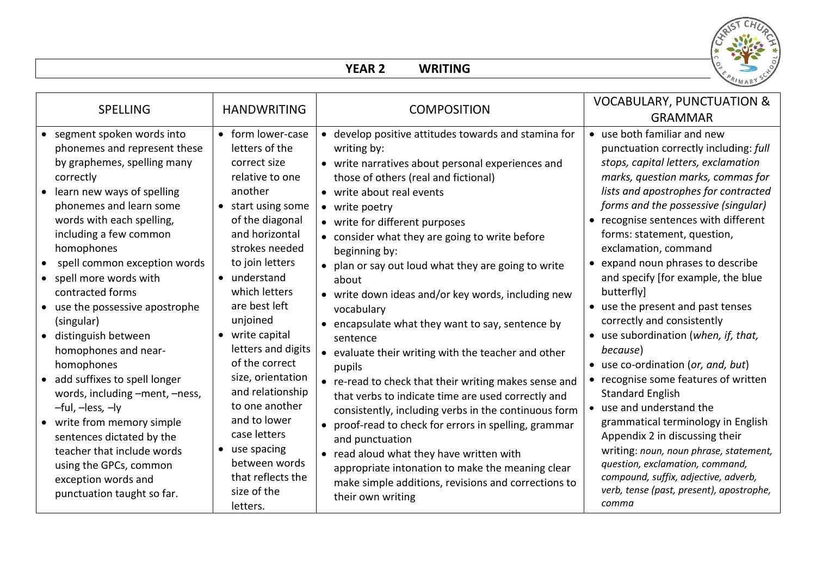

## **YEAR 2 WRITING**

| • develop positive attitudes towards and stamina for<br>• use both familiar and new<br>segment spoken words into<br>• form lower-case<br>phonemes and represent these<br>letters of the<br>writing by:<br>by graphemes, spelling many<br>correct size<br>• write narratives about personal experiences and<br>correctly<br>relative to one<br>those of others (real and fictional)<br>learn new ways of spelling<br>another<br>• write about real events<br>phonemes and learn some<br>• start using some<br>• write poetry<br>words with each spelling,<br>of the diagonal<br>• write for different purposes<br>and horizontal<br>including a few common<br>forms: statement, question,<br>• consider what they are going to write before<br>homophones<br>strokes needed<br>exclamation, command<br>beginning by:<br>to join letters<br>• expand noun phrases to describe<br>spell common exception words<br>• plan or say out loud what they are going to write<br>• understand<br>spell more words with<br>about<br>which letters<br>contracted forms<br>butterfly]<br>• write down ideas and/or key words, including new<br>are best left<br>• use the present and past tenses<br>use the possessive apostrophe<br>vocabulary<br>unjoined<br>correctly and consistently<br>(singular)<br>• encapsulate what they want to say, sentence by<br>• write capital<br>distinguish between<br>sentence<br>letters and digits<br>because)<br>homophones and near-<br>• evaluate their writing with the teacher and other<br>of the correct<br>homophones<br>• use co-ordination (or, and, but)<br>pupils<br>size, orientation<br>add suffixes to spell longer<br>• re-read to check that their writing makes sense and<br>and relationship<br>words, including -ment, -ness,<br><b>Standard English</b><br>that verbs to indicate time are used correctly and<br>to one another<br>-ful, -less, -ly<br>• use and understand the<br>consistently, including verbs in the continuous form<br>and to lower<br>write from memory simple<br>• proof-read to check for errors in spelling, grammar<br>case letters<br>Appendix 2 in discussing their<br>sentences dictated by the<br>and punctuation<br>• use spacing<br>teacher that include words<br>• read aloud what they have written with<br>between words<br>question, exclamation, command,<br>using the GPCs, common | <b>SPELLING</b> | <b>HANDWRITING</b> | <b>COMPOSITION</b>                               | <b>VOCABULARY, PUNCTUATION &amp;</b><br><b>GRAMMAR</b>                                                                                                                                                                                                                                                                                                                                                                                                                                     |
|----------------------------------------------------------------------------------------------------------------------------------------------------------------------------------------------------------------------------------------------------------------------------------------------------------------------------------------------------------------------------------------------------------------------------------------------------------------------------------------------------------------------------------------------------------------------------------------------------------------------------------------------------------------------------------------------------------------------------------------------------------------------------------------------------------------------------------------------------------------------------------------------------------------------------------------------------------------------------------------------------------------------------------------------------------------------------------------------------------------------------------------------------------------------------------------------------------------------------------------------------------------------------------------------------------------------------------------------------------------------------------------------------------------------------------------------------------------------------------------------------------------------------------------------------------------------------------------------------------------------------------------------------------------------------------------------------------------------------------------------------------------------------------------------------------------------------------------------------------------------------------------------------------------------------------------------------------------------------------------------------------------------------------------------------------------------------------------------------------------------------------------------------------------------------------------------------------------------------------------------------------------------------------------------------------------------------------------------------------------------|-----------------|--------------------|--------------------------------------------------|--------------------------------------------------------------------------------------------------------------------------------------------------------------------------------------------------------------------------------------------------------------------------------------------------------------------------------------------------------------------------------------------------------------------------------------------------------------------------------------------|
| compound, suffix, adjective, adverb,<br>that reflects the<br>exception words and<br>make simple additions, revisions and corrections to<br>size of the<br>punctuation taught so far.<br>their own writing<br>comma<br>letters.                                                                                                                                                                                                                                                                                                                                                                                                                                                                                                                                                                                                                                                                                                                                                                                                                                                                                                                                                                                                                                                                                                                                                                                                                                                                                                                                                                                                                                                                                                                                                                                                                                                                                                                                                                                                                                                                                                                                                                                                                                                                                                                                       |                 |                    | appropriate intonation to make the meaning clear | punctuation correctly including: full<br>stops, capital letters, exclamation<br>marks, question marks, commas for<br>lists and apostrophes for contracted<br>forms and the possessive (singular)<br>• recognise sentences with different<br>and specify [for example, the blue<br>• use subordination (when, if, that,<br>• recognise some features of written<br>grammatical terminology in English<br>writing: noun, noun phrase, statement,<br>verb, tense (past, present), apostrophe, |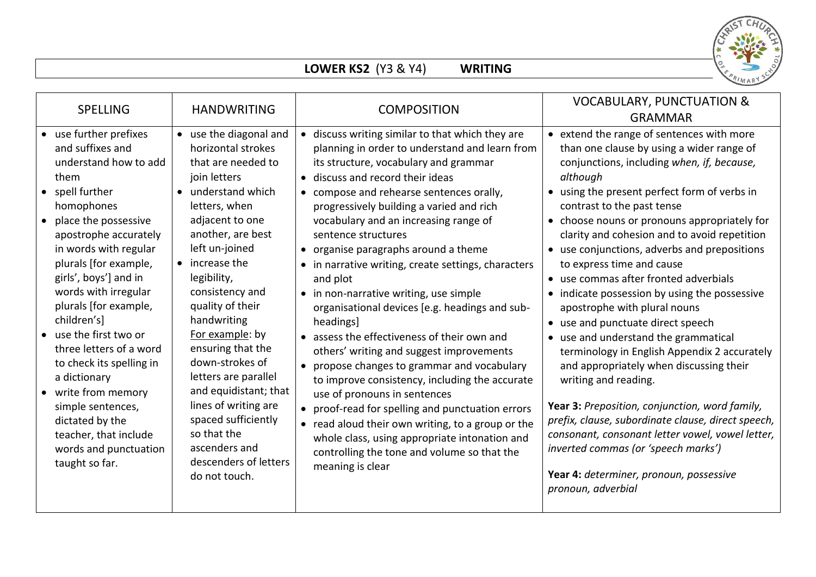

## **LOWER KS2** (Y3 & Y4) **WRITING**

| <b>SPELLING</b>                                                                                                                                                                                                                                                                                                                                                                                                                                                                                                                                           | <b>HANDWRITING</b>                                                                                                                                                                                                                                                                                                                                                                                                                                                                                                      | <b>COMPOSITION</b>                                                                                                                                                                                                                                                                                                                                                                                                                                                                                                                                                                                                                                                                                                                                                                                                                                                                                                                                                                                                   | <b>VOCABULARY, PUNCTUATION &amp;</b><br><b>GRAMMAR</b>                                                                                                                                                                                                                                                                                                                                                                                                                                                                                                                                                                                                                                                                                                                                                                                                                                                                                                                                                    |
|-----------------------------------------------------------------------------------------------------------------------------------------------------------------------------------------------------------------------------------------------------------------------------------------------------------------------------------------------------------------------------------------------------------------------------------------------------------------------------------------------------------------------------------------------------------|-------------------------------------------------------------------------------------------------------------------------------------------------------------------------------------------------------------------------------------------------------------------------------------------------------------------------------------------------------------------------------------------------------------------------------------------------------------------------------------------------------------------------|----------------------------------------------------------------------------------------------------------------------------------------------------------------------------------------------------------------------------------------------------------------------------------------------------------------------------------------------------------------------------------------------------------------------------------------------------------------------------------------------------------------------------------------------------------------------------------------------------------------------------------------------------------------------------------------------------------------------------------------------------------------------------------------------------------------------------------------------------------------------------------------------------------------------------------------------------------------------------------------------------------------------|-----------------------------------------------------------------------------------------------------------------------------------------------------------------------------------------------------------------------------------------------------------------------------------------------------------------------------------------------------------------------------------------------------------------------------------------------------------------------------------------------------------------------------------------------------------------------------------------------------------------------------------------------------------------------------------------------------------------------------------------------------------------------------------------------------------------------------------------------------------------------------------------------------------------------------------------------------------------------------------------------------------|
| • use further prefixes<br>and suffixes and<br>understand how to add<br>them<br>• spell further<br>homophones<br>place the possessive<br>$\bullet$<br>apostrophe accurately<br>in words with regular<br>plurals [for example,<br>girls', boys'] and in<br>words with irregular<br>plurals [for example,<br>children's]<br>• use the first two or<br>three letters of a word<br>to check its spelling in<br>a dictionary<br>• write from memory<br>simple sentences,<br>dictated by the<br>teacher, that include<br>words and punctuation<br>taught so far. | • use the diagonal and<br>horizontal strokes<br>that are needed to<br>join letters<br>• understand which<br>letters, when<br>adjacent to one<br>another, are best<br>left un-joined<br>$\bullet$ increase the<br>legibility,<br>consistency and<br>quality of their<br>handwriting<br>For example: by<br>ensuring that the<br>down-strokes of<br>letters are parallel<br>and equidistant; that<br>lines of writing are<br>spaced sufficiently<br>so that the<br>ascenders and<br>descenders of letters<br>do not touch. | • discuss writing similar to that which they are<br>planning in order to understand and learn from<br>its structure, vocabulary and grammar<br>• discuss and record their ideas<br>• compose and rehearse sentences orally,<br>progressively building a varied and rich<br>vocabulary and an increasing range of<br>sentence structures<br>• organise paragraphs around a theme<br>• in narrative writing, create settings, characters<br>and plot<br>• in non-narrative writing, use simple<br>organisational devices [e.g. headings and sub-<br>headings]<br>• assess the effectiveness of their own and<br>others' writing and suggest improvements<br>• propose changes to grammar and vocabulary<br>to improve consistency, including the accurate<br>use of pronouns in sentences<br>• proof-read for spelling and punctuation errors<br>• read aloud their own writing, to a group or the<br>whole class, using appropriate intonation and<br>controlling the tone and volume so that the<br>meaning is clear | • extend the range of sentences with more<br>than one clause by using a wider range of<br>conjunctions, including when, if, because,<br>although<br>• using the present perfect form of verbs in<br>contrast to the past tense<br>• choose nouns or pronouns appropriately for<br>clarity and cohesion and to avoid repetition<br>• use conjunctions, adverbs and prepositions<br>to express time and cause<br>• use commas after fronted adverbials<br>• indicate possession by using the possessive<br>apostrophe with plural nouns<br>• use and punctuate direct speech<br>• use and understand the grammatical<br>terminology in English Appendix 2 accurately<br>and appropriately when discussing their<br>writing and reading.<br>Year 3: Preposition, conjunction, word family,<br>prefix, clause, subordinate clause, direct speech,<br>consonant, consonant letter vowel, vowel letter,<br>inverted commas (or 'speech marks')<br>Year 4: determiner, pronoun, possessive<br>pronoun, adverbial |
|                                                                                                                                                                                                                                                                                                                                                                                                                                                                                                                                                           |                                                                                                                                                                                                                                                                                                                                                                                                                                                                                                                         |                                                                                                                                                                                                                                                                                                                                                                                                                                                                                                                                                                                                                                                                                                                                                                                                                                                                                                                                                                                                                      |                                                                                                                                                                                                                                                                                                                                                                                                                                                                                                                                                                                                                                                                                                                                                                                                                                                                                                                                                                                                           |